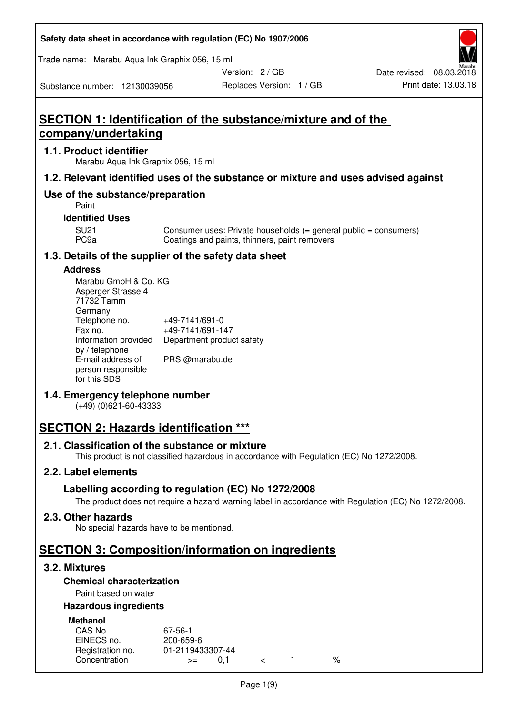| Safety data sheet in accordance with regulation (EC) No 1907/2006 |  |
|-------------------------------------------------------------------|--|
|-------------------------------------------------------------------|--|

Trade name: Marabu Aqua Ink Graphix 056, 15 ml

Version: 2 / GB

Substance number: 12130039056

# **SECTION 1: Identification of the substance/mixture and of the company/undertaking**

## **1.1. Product identifier**

Marabu Aqua Ink Graphix 056, 15 ml

## **1.2. Relevant identified uses of the substance or mixture and uses advised against**

## **Use of the substance/preparation**

Paint

## **Identified Uses**

SU21 Consumer uses: Private households (= general public = consumers)<br>PC9a Coatings and paints, thinners, paint removers Coatings and paints, thinners, paint removers

## **1.3. Details of the supplier of the safety data sheet**

### **Address**

| Marabu GmbH & Co. KG |                           |
|----------------------|---------------------------|
| Asperger Strasse 4   |                           |
| 71732 Tamm           |                           |
| Germany              |                           |
| Telephone no.        | +49-7141/691-0            |
| Fax no.              | +49-7141/691-147          |
| Information provided | Department product safety |
| by / telephone       |                           |
| E-mail address of    | PRSI@marabu.de            |
| person responsible   |                           |
| for this SDS         |                           |

## **1.4. Emergency telephone number**

(+49) (0)621-60-43333

## **SECTION 2: Hazards identification \*\*\***

## **2.1. Classification of the substance or mixture**

This product is not classified hazardous in accordance with Regulation (EC) No 1272/2008.

## **2.2. Label elements**

## **Labelling according to regulation (EC) No 1272/2008**

The product does not require a hazard warning label in accordance with Regulation (EC) No 1272/2008.

## **2.3. Other hazards**

No special hazards have to be mentioned.

# **SECTION 3: Composition/information on ingredients**

## **3.2. Mixtures**

## **Chemical characterization**

## Paint based on water

## **Hazardous ingredients**

| <b>Methanol</b>  |                  |  |   |
|------------------|------------------|--|---|
| CAS No.          | 67-56-1          |  |   |
| EINECS no.       | 200-659-6        |  |   |
| Registration no. | 01-2119433307-44 |  |   |
| Concentration    | O 1<br>$>=$      |  | % |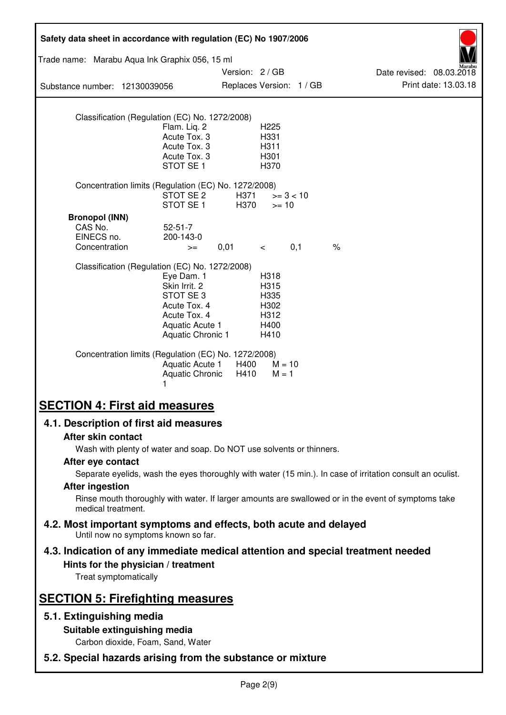| Safety data sheet in accordance with regulation (EC) No 1907/2006                                                                               |                                                                                                                 |                                             |                                                      |     |                                                                                                            |
|-------------------------------------------------------------------------------------------------------------------------------------------------|-----------------------------------------------------------------------------------------------------------------|---------------------------------------------|------------------------------------------------------|-----|------------------------------------------------------------------------------------------------------------|
| Trade name: Marabu Aqua Ink Graphix 056, 15 ml                                                                                                  |                                                                                                                 |                                             |                                                      |     |                                                                                                            |
| Substance number: 12130039056                                                                                                                   |                                                                                                                 | Version: 2 / GB<br>Replaces Version: 1 / GB |                                                      |     | Date revised: 08.03.2018<br>Print date: 13.03.18                                                           |
|                                                                                                                                                 |                                                                                                                 |                                             |                                                      |     |                                                                                                            |
| Classification (Regulation (EC) No. 1272/2008)                                                                                                  | Flam. Liq. 2<br>Acute Tox. 3<br>Acute Tox. 3                                                                    |                                             | H <sub>225</sub><br>H331<br>H311                     |     |                                                                                                            |
|                                                                                                                                                 | Acute Tox. 3<br>STOT SE <sub>1</sub>                                                                            |                                             | H301<br>H370                                         |     |                                                                                                            |
| Concentration limits (Regulation (EC) No. 1272/2008)                                                                                            | STOT SE 2<br>STOT SE <sub>1</sub>                                                                               | H371<br>H370                                | $>= 3 < 10$<br>$>= 10$                               |     |                                                                                                            |
| <b>Bronopol (INN)</b><br>CAS No.<br>EINECS no.                                                                                                  | $52 - 51 - 7$<br>200-143-0                                                                                      |                                             |                                                      |     | $\%$                                                                                                       |
| Concentration                                                                                                                                   | $>=$                                                                                                            | 0,01                                        | $\lt$                                                | 0,1 |                                                                                                            |
| Classification (Regulation (EC) No. 1272/2008)                                                                                                  | Eye Dam. 1<br>Skin Irrit. 2<br>STOT SE3<br>Acute Tox. 4<br>Acute Tox. 4<br>Aquatic Acute 1<br>Aquatic Chronic 1 |                                             | H318<br>H315<br>H335<br>H302<br>H312<br>H400<br>H410 |     |                                                                                                            |
| Concentration limits (Regulation (EC) No. 1272/2008)                                                                                            | <b>Aquatic Acute 1</b><br>Aquatic Chronic<br>1                                                                  | H400<br>H410                                | $M = 10$<br>$M = 1$                                  |     |                                                                                                            |
| <b>SECTION 4: First aid measures</b>                                                                                                            |                                                                                                                 |                                             |                                                      |     |                                                                                                            |
| 4.1. Description of first aid measures                                                                                                          |                                                                                                                 |                                             |                                                      |     |                                                                                                            |
| After skin contact                                                                                                                              |                                                                                                                 |                                             |                                                      |     |                                                                                                            |
| Wash with plenty of water and soap. Do NOT use solvents or thinners.<br>After eye contact                                                       |                                                                                                                 |                                             |                                                      |     |                                                                                                            |
|                                                                                                                                                 |                                                                                                                 |                                             |                                                      |     | Separate eyelids, wash the eyes thoroughly with water (15 min.). In case of irritation consult an oculist. |
| <b>After ingestion</b><br>Rinse mouth thoroughly with water. If larger amounts are swallowed or in the event of symptoms take                   |                                                                                                                 |                                             |                                                      |     |                                                                                                            |
| medical treatment.<br>4.2. Most important symptoms and effects, both acute and delayed<br>Until now no symptoms known so far.                   |                                                                                                                 |                                             |                                                      |     |                                                                                                            |
| 4.3. Indication of any immediate medical attention and special treatment needed<br>Hints for the physician / treatment<br>Treat symptomatically |                                                                                                                 |                                             |                                                      |     |                                                                                                            |
| <b>SECTION 5: Firefighting measures</b>                                                                                                         |                                                                                                                 |                                             |                                                      |     |                                                                                                            |
| 5.1. Extinguishing media                                                                                                                        |                                                                                                                 |                                             |                                                      |     |                                                                                                            |
| Suitable extinguishing media<br>Carbon dioxide, Foam, Sand, Water                                                                               |                                                                                                                 |                                             |                                                      |     |                                                                                                            |
| 5.2. Special hazards arising from the substance or mixture                                                                                      |                                                                                                                 |                                             |                                                      |     |                                                                                                            |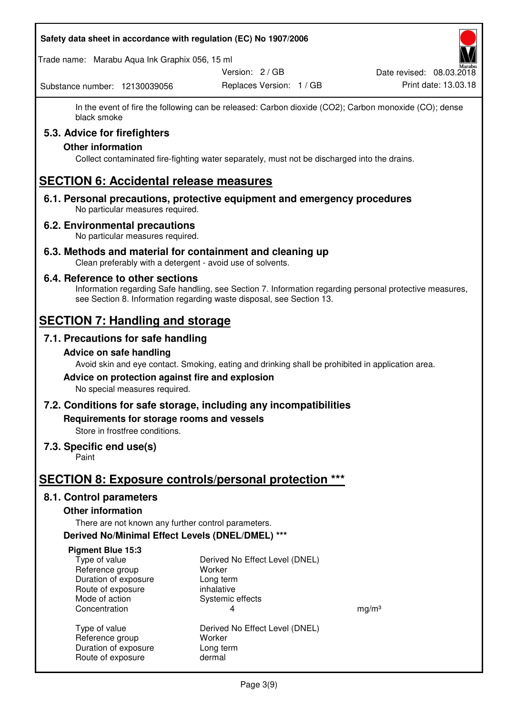#### **Safety data sheet in accordance with regulation (EC) No 1907/2006**

Trade name: Marabu Aqua Ink Graphix 056, 15 ml

Substance number: 12130039056

Version: 2 / GB

Replaces Version: 1 / GB Print date: 13.03.18 Date revised: 08.03.2018

In the event of fire the following can be released: Carbon dioxide (CO2); Carbon monoxide (CO); dense black smoke

## **5.3. Advice for firefighters**

## **Other information**

Collect contaminated fire-fighting water separately, must not be discharged into the drains.

## **SECTION 6: Accidental release measures**

**6.1. Personal precautions, protective equipment and emergency procedures**  No particular measures required.

### **6.2. Environmental precautions**

No particular measures required.

**6.3. Methods and material for containment and cleaning up**  Clean preferably with a detergent - avoid use of solvents.

### **6.4. Reference to other sections**

Information regarding Safe handling, see Section 7. Information regarding personal protective measures, see Section 8. Information regarding waste disposal, see Section 13.

## **SECTION 7: Handling and storage**

## **7.1. Precautions for safe handling**

#### **Advice on safe handling**

Avoid skin and eye contact. Smoking, eating and drinking shall be prohibited in application area.

# **Advice on protection against fire and explosion**

No special measures required.

## **7.2. Conditions for safe storage, including any incompatibilities**

**Requirements for storage rooms and vessels** 

Store in frostfree conditions.

#### **7.3. Specific end use(s)**

Paint

## **SECTION 8: Exposure controls/personal protection \*\*\***

#### **8.1. Control parameters**

#### **Other information**

There are not known any further control parameters.

## **Derived No/Minimal Effect Levels (DNEL/DMEL) \*\*\***

#### **Pigment Blue 15:3**

| Type of value        |
|----------------------|
| Reference group      |
| Duration of exposure |
| Route of exposure    |
| Mode of action       |
| Concentration        |
|                      |
| Type of value        |

Route of exposure dermal

Derived No Effect Level (DNEL) Worker Long term inhalative Systemic effects Concentration and the set of the set of the set of the set of the set of the set of the set of the set of the set of the set of the set of the set of the set of the set of the set of the set of the set of the set of the se Derived No Effect Level (DNEL) Reference group Worker Duration of exposure Long term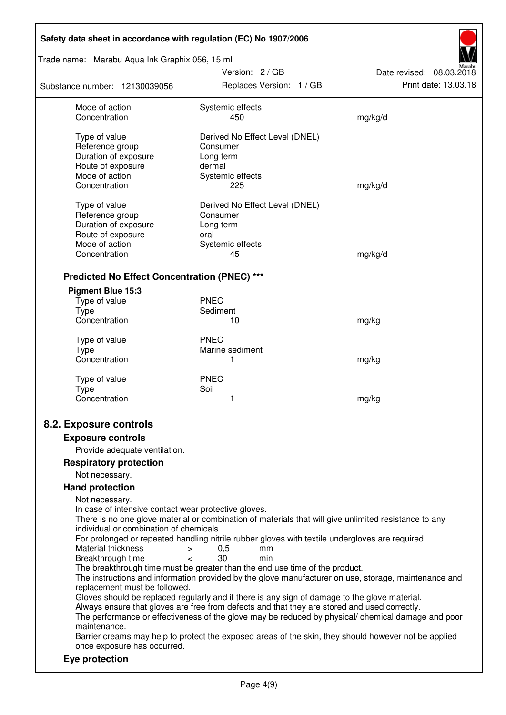| Safety data sheet in accordance with regulation (EC) No 1907/2006                                    |                                                                                                       |                          |  |
|------------------------------------------------------------------------------------------------------|-------------------------------------------------------------------------------------------------------|--------------------------|--|
| Trade name: Marabu Aqua Ink Graphix 056, 15 ml                                                       |                                                                                                       |                          |  |
|                                                                                                      | Version: 2 / GB                                                                                       | Date revised: 08.03.2018 |  |
| Substance number: 12130039056                                                                        | Replaces Version: 1 / GB                                                                              | Print date: 13.03.18     |  |
| Mode of action                                                                                       | Systemic effects                                                                                      |                          |  |
| Concentration                                                                                        | 450                                                                                                   | mg/kg/d                  |  |
| Type of value                                                                                        | Derived No Effect Level (DNEL)                                                                        |                          |  |
| Reference group                                                                                      | Consumer                                                                                              |                          |  |
| Duration of exposure                                                                                 | Long term                                                                                             |                          |  |
| Route of exposure                                                                                    | dermal                                                                                                |                          |  |
| Mode of action                                                                                       | Systemic effects                                                                                      |                          |  |
| Concentration                                                                                        | 225                                                                                                   | mg/kg/d                  |  |
| Type of value                                                                                        | Derived No Effect Level (DNEL)                                                                        |                          |  |
| Reference group                                                                                      | Consumer                                                                                              |                          |  |
| Duration of exposure                                                                                 | Long term                                                                                             |                          |  |
| Route of exposure                                                                                    | oral                                                                                                  |                          |  |
| Mode of action                                                                                       | Systemic effects                                                                                      |                          |  |
| Concentration                                                                                        | 45                                                                                                    | mg/kg/d                  |  |
| <b>Predicted No Effect Concentration (PNEC) ***</b>                                                  |                                                                                                       |                          |  |
| <b>Pigment Blue 15:3</b>                                                                             |                                                                                                       |                          |  |
| Type of value                                                                                        | <b>PNEC</b>                                                                                           |                          |  |
| Type                                                                                                 | Sediment                                                                                              |                          |  |
| Concentration                                                                                        | 10                                                                                                    | mg/kg                    |  |
| Type of value                                                                                        | <b>PNEC</b>                                                                                           |                          |  |
| <b>Type</b>                                                                                          | Marine sediment                                                                                       |                          |  |
| Concentration                                                                                        | 1                                                                                                     | mg/kg                    |  |
|                                                                                                      |                                                                                                       |                          |  |
| Type of value                                                                                        | <b>PNEC</b>                                                                                           |                          |  |
| Type<br>Concentration                                                                                | Soil<br>1                                                                                             | mg/kg                    |  |
|                                                                                                      |                                                                                                       |                          |  |
| 8.2. Exposure controls                                                                               |                                                                                                       |                          |  |
| <b>Exposure controls</b>                                                                             |                                                                                                       |                          |  |
| Provide adequate ventilation.                                                                        |                                                                                                       |                          |  |
| <b>Respiratory protection</b>                                                                        |                                                                                                       |                          |  |
| Not necessary.                                                                                       |                                                                                                       |                          |  |
| <b>Hand protection</b>                                                                               |                                                                                                       |                          |  |
| Not necessary.                                                                                       |                                                                                                       |                          |  |
| In case of intensive contact wear protective gloves.                                                 |                                                                                                       |                          |  |
|                                                                                                      | There is no one glove material or combination of materials that will give unlimited resistance to any |                          |  |
| individual or combination of chemicals.                                                              |                                                                                                       |                          |  |
|                                                                                                      | For prolonged or repeated handling nitrile rubber gloves with textile undergloves are required.       |                          |  |
| Material thickness<br>$\, > \,$<br>Breakthrough time<br>$\overline{a}$                               | 0,5<br>mm<br>30<br>min                                                                                |                          |  |
|                                                                                                      | The breakthrough time must be greater than the end use time of the product.                           |                          |  |
|                                                                                                      | The instructions and information provided by the glove manufacturer on use, storage, maintenance and  |                          |  |
| replacement must be followed.                                                                        |                                                                                                       |                          |  |
|                                                                                                      | Gloves should be replaced regularly and if there is any sign of damage to the glove material.         |                          |  |
|                                                                                                      | Always ensure that gloves are free from defects and that they are stored and used correctly.          |                          |  |
| maintenance.                                                                                         | The performance or effectiveness of the glove may be reduced by physical/ chemical damage and poor    |                          |  |
| Barrier creams may help to protect the exposed areas of the skin, they should however not be applied |                                                                                                       |                          |  |
| once exposure has occurred.                                                                          |                                                                                                       |                          |  |
| Eye protection                                                                                       |                                                                                                       |                          |  |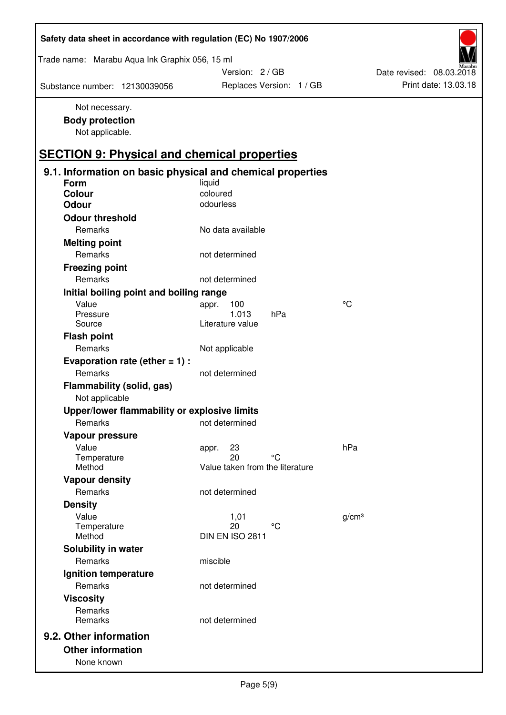| Safety data sheet in accordance with regulation (EC) No 1907/2006 |                                 |                          |
|-------------------------------------------------------------------|---------------------------------|--------------------------|
| Trade name: Marabu Aqua Ink Graphix 056, 15 ml                    |                                 |                          |
|                                                                   | Version: 2 / GB                 | Date revised: 08.03.2018 |
| Substance number: 12130039056                                     | Replaces Version: 1 / GB        | Print date: 13.03.18     |
| Not necessary.                                                    |                                 |                          |
| <b>Body protection</b>                                            |                                 |                          |
| Not applicable.                                                   |                                 |                          |
| <b>SECTION 9: Physical and chemical properties</b>                |                                 |                          |
| 9.1. Information on basic physical and chemical properties        |                                 |                          |
| Form                                                              | liquid                          |                          |
| Colour                                                            | coloured                        |                          |
| <b>Odour</b>                                                      | odourless                       |                          |
| <b>Odour threshold</b>                                            |                                 |                          |
| Remarks                                                           | No data available               |                          |
| <b>Melting point</b>                                              |                                 |                          |
| Remarks                                                           | not determined                  |                          |
| <b>Freezing point</b>                                             |                                 |                          |
| Remarks                                                           | not determined                  |                          |
| Initial boiling point and boiling range                           |                                 |                          |
| Value                                                             | 100<br>appr.                    | $\rm ^{\circ}C$          |
| Pressure                                                          | 1.013<br>hPa                    |                          |
| Source                                                            | Literature value                |                          |
| <b>Flash point</b>                                                |                                 |                          |
| Remarks                                                           | Not applicable                  |                          |
| Evaporation rate (ether $= 1$ ) :<br>Remarks                      | not determined                  |                          |
| Flammability (solid, gas)<br>Not applicable                       |                                 |                          |
| Upper/lower flammability or explosive limits                      |                                 |                          |
| Remarks                                                           | not determined                  |                          |
|                                                                   |                                 |                          |
| Vapour pressure<br>Value                                          |                                 | hPa                      |
| Temperature                                                       | 23<br>appr.<br>20<br>°C         |                          |
| Method                                                            | Value taken from the literature |                          |
| <b>Vapour density</b>                                             |                                 |                          |
| Remarks                                                           | not determined                  |                          |
| <b>Density</b>                                                    |                                 |                          |
| Value                                                             | 1,01                            | g/cm <sup>3</sup>        |
| Temperature<br>Method                                             | 20<br>°C<br>DIN EN ISO 2811     |                          |
| Solubility in water                                               |                                 |                          |
| Remarks                                                           | miscible                        |                          |
|                                                                   |                                 |                          |
| Ignition temperature<br>Remarks                                   | not determined                  |                          |
|                                                                   |                                 |                          |
| <b>Viscosity</b>                                                  |                                 |                          |
| Remarks<br>Remarks                                                | not determined                  |                          |
|                                                                   |                                 |                          |
| 9.2. Other information                                            |                                 |                          |
| <b>Other information</b>                                          |                                 |                          |
| None known                                                        |                                 |                          |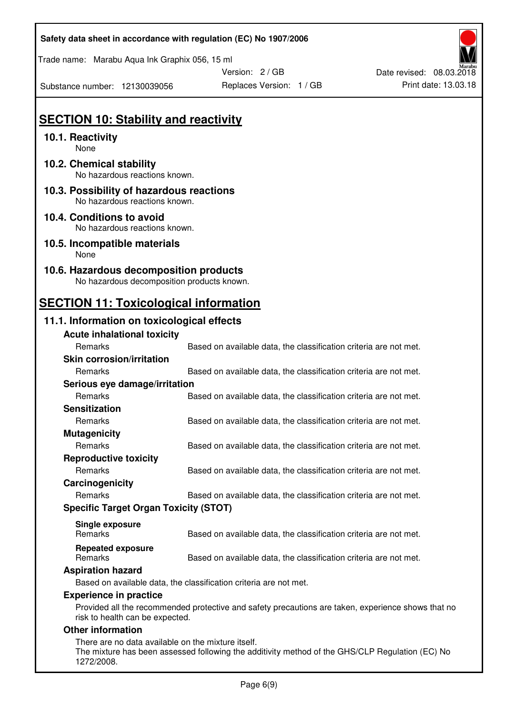| Safety data sheet in accordance with regulation (EC) No 1907/2006 |  |
|-------------------------------------------------------------------|--|
|-------------------------------------------------------------------|--|

Trade name: Marabu Aqua Ink Graphix 056, 15 ml

Date revised: 08.03.2018

Substance number: 12130039056

Version: 2 / GB Replaces Version: 1 / GB Print date: 13.03.18

## **SECTION 10: Stability and reactivity**

## **10.1. Reactivity**

None

- **10.2. Chemical stability**  No hazardous reactions known.
- **10.3. Possibility of hazardous reactions**  No hazardous reactions known.

#### **10.4. Conditions to avoid**  No hazardous reactions known.

**10.5. Incompatible materials**  None

#### **10.6. Hazardous decomposition products**  No hazardous decomposition products known.

# **SECTION 11: Toxicological information**

## **11.1. Information on toxicological effects**

|                                              | <b>Acute inhalational toxicity</b>                                |                                                                                             |  |
|----------------------------------------------|-------------------------------------------------------------------|---------------------------------------------------------------------------------------------|--|
|                                              | <b>Remarks</b>                                                    | Based on available data, the classification criteria are not met.                           |  |
|                                              | <b>Skin corrosion/irritation</b>                                  |                                                                                             |  |
|                                              | <b>Remarks</b>                                                    | Based on available data, the classification criteria are not met.                           |  |
|                                              | Serious eye damage/irritation                                     |                                                                                             |  |
|                                              | <b>Remarks</b>                                                    | Based on available data, the classification criteria are not met.                           |  |
|                                              | <b>Sensitization</b>                                              |                                                                                             |  |
|                                              | <b>Remarks</b>                                                    | Based on available data, the classification criteria are not met.                           |  |
|                                              | <b>Mutagenicity</b>                                               |                                                                                             |  |
|                                              | Remarks                                                           | Based on available data, the classification criteria are not met.                           |  |
|                                              | <b>Reproductive toxicity</b>                                      |                                                                                             |  |
|                                              | <b>Remarks</b>                                                    | Based on available data, the classification criteria are not met.                           |  |
|                                              | Carcinogenicity                                                   |                                                                                             |  |
|                                              | <b>Remarks</b>                                                    | Based on available data, the classification criteria are not met.                           |  |
| <b>Specific Target Organ Toxicity (STOT)</b> |                                                                   |                                                                                             |  |
|                                              | Single exposure                                                   |                                                                                             |  |
|                                              | <b>Remarks</b>                                                    | Based on available data, the classification criteria are not met.                           |  |
|                                              | <b>Repeated exposure</b>                                          |                                                                                             |  |
|                                              | <b>Remarks</b>                                                    | Based on available data, the classification criteria are not met.                           |  |
|                                              | <b>Aspiration hazard</b>                                          |                                                                                             |  |
|                                              | Based on available data, the classification criteria are not met. |                                                                                             |  |
|                                              | <b>Experience in practice</b>                                     |                                                                                             |  |
|                                              |                                                                   | Provided all the recommended protective and safety precautions are taken experience shows t |  |

commended protective and safety precautions are taken, experience shows that no risk to health can be expected.

#### **Other information**

There are no data available on the mixture itself. The mixture has been assessed following the additivity method of the GHS/CLP Regulation (EC) No 1272/2008.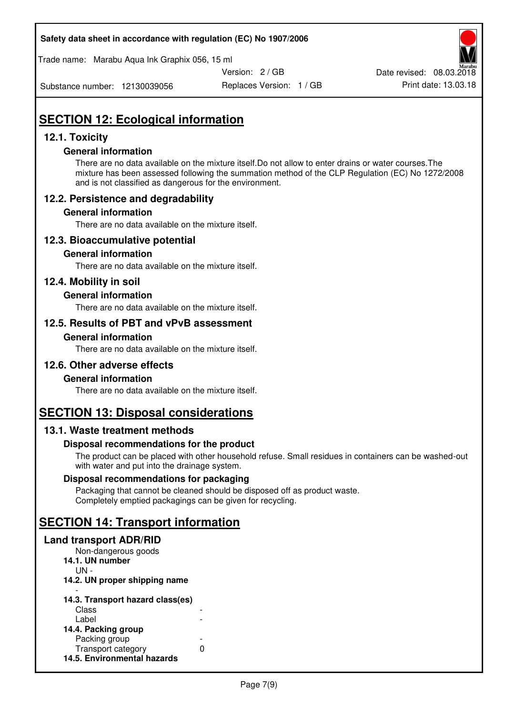#### **Safety data sheet in accordance with regulation (EC) No 1907/2006**

Trade name: Marabu Aqua Ink Graphix 056, 15 ml

Version: 2 / GB

Date revised: 08.03.2018

Substance number: 12130039056

Replaces Version: 1 / GB Print date: 13.03.18

# **SECTION 12: Ecological information**

## **12.1. Toxicity**

### **General information**

There are no data available on the mixture itself.Do not allow to enter drains or water courses.The mixture has been assessed following the summation method of the CLP Regulation (EC) No 1272/2008 and is not classified as dangerous for the environment.

## **12.2. Persistence and degradability**

### **General information**

There are no data available on the mixture itself.

## **12.3. Bioaccumulative potential**

#### **General information**

There are no data available on the mixture itself.

## **12.4. Mobility in soil**

### **General information**

There are no data available on the mixture itself.

### **12.5. Results of PBT and vPvB assessment**

#### **General information**

There are no data available on the mixture itself.

#### **12.6. Other adverse effects**

#### **General information**

There are no data available on the mixture itself.

## **SECTION 13: Disposal considerations**

## **13.1. Waste treatment methods**

## **Disposal recommendations for the product**

The product can be placed with other household refuse. Small residues in containers can be washed-out with water and put into the drainage system.

#### **Disposal recommendations for packaging**

Packaging that cannot be cleaned should be disposed off as product waste. Completely emptied packagings can be given for recycling.

## **SECTION 14: Transport information**

### **Land transport ADR/RID**

| Non-dangerous goods              |   |
|----------------------------------|---|
| 14.1. UN number                  |   |
| UN -                             |   |
| 14.2. UN proper shipping name    |   |
|                                  |   |
| 14.3. Transport hazard class(es) |   |
| Class                            |   |
| Label                            |   |
| 14.4. Packing group              |   |
| Packing group                    |   |
| Transport category               | n |
| 14.5. Environmental hazards      |   |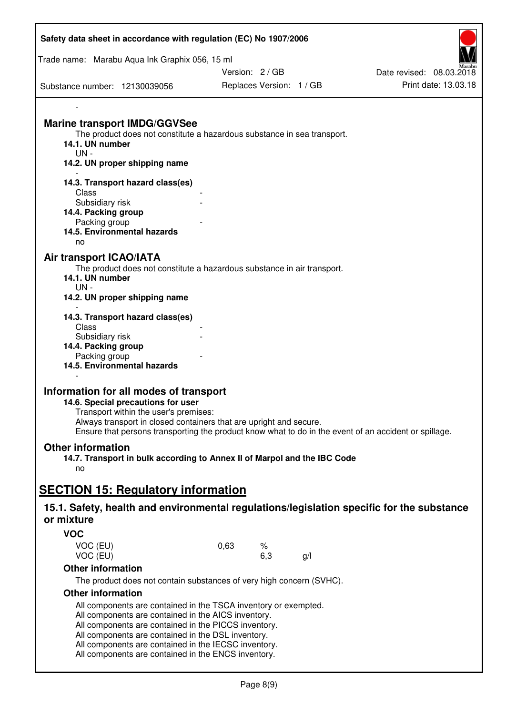| Safety data sheet in accordance with regulation (EC) No 1907/2006                                                                                                                                                                                                                                                                                   |      |                          |    |                          |
|-----------------------------------------------------------------------------------------------------------------------------------------------------------------------------------------------------------------------------------------------------------------------------------------------------------------------------------------------------|------|--------------------------|----|--------------------------|
| Trade name: Marabu Aqua Ink Graphix 056, 15 ml                                                                                                                                                                                                                                                                                                      |      |                          |    |                          |
|                                                                                                                                                                                                                                                                                                                                                     |      | Version: 2 / GB          |    | Date revised: 08.03.2018 |
| Substance number: 12130039056                                                                                                                                                                                                                                                                                                                       |      | Replaces Version: 1 / GB |    | Print date: 13.03.18     |
|                                                                                                                                                                                                                                                                                                                                                     |      |                          |    |                          |
| <b>Marine transport IMDG/GGVSee</b><br>The product does not constitute a hazardous substance in sea transport.<br>14.1. UN number<br>$UN -$<br>14.2. UN proper shipping name                                                                                                                                                                        |      |                          |    |                          |
| 14.3. Transport hazard class(es)<br>Class<br>Subsidiary risk<br>14.4. Packing group<br>Packing group<br>14.5. Environmental hazards<br>no                                                                                                                                                                                                           |      |                          |    |                          |
| Air transport ICAO/IATA<br>The product does not constitute a hazardous substance in air transport.<br>14.1. UN number<br>$UN -$<br>14.2. UN proper shipping name                                                                                                                                                                                    |      |                          |    |                          |
| 14.3. Transport hazard class(es)<br>Class<br>Subsidiary risk<br>14.4. Packing group<br>Packing group<br>14.5. Environmental hazards                                                                                                                                                                                                                 |      |                          |    |                          |
| Information for all modes of transport<br>14.6. Special precautions for user<br>Transport within the user's premises:<br>Always transport in closed containers that are upright and secure.<br>Ensure that persons transporting the product know what to do in the event of an accident or spillage.                                                |      |                          |    |                          |
| <b>Other information</b><br>14.7. Transport in bulk according to Annex II of Marpol and the IBC Code<br>no                                                                                                                                                                                                                                          |      |                          |    |                          |
|                                                                                                                                                                                                                                                                                                                                                     |      |                          |    |                          |
| <b>SECTION 15: Regulatory information</b>                                                                                                                                                                                                                                                                                                           |      |                          |    |                          |
| 15.1. Safety, health and environmental regulations/legislation specific for the substance<br>or mixture                                                                                                                                                                                                                                             |      |                          |    |                          |
| <b>VOC</b>                                                                                                                                                                                                                                                                                                                                          |      |                          |    |                          |
| VOC (EU)<br>VOC (EU)                                                                                                                                                                                                                                                                                                                                | 0,63 | $\%$<br>6,3              | g/ |                          |
| <b>Other information</b>                                                                                                                                                                                                                                                                                                                            |      |                          |    |                          |
| The product does not contain substances of very high concern (SVHC).                                                                                                                                                                                                                                                                                |      |                          |    |                          |
| <b>Other information</b>                                                                                                                                                                                                                                                                                                                            |      |                          |    |                          |
| All components are contained in the TSCA inventory or exempted.<br>All components are contained in the AICS inventory.<br>All components are contained in the PICCS inventory.<br>All components are contained in the DSL inventory.<br>All components are contained in the IECSC inventory.<br>All components are contained in the ENCS inventory. |      |                          |    |                          |